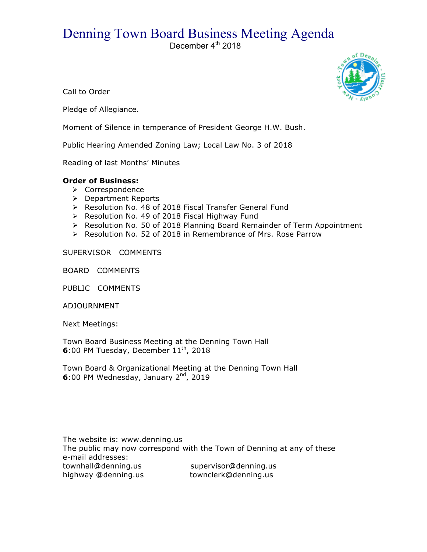## Denning Town Board Business Meeting Agenda

December 4<sup>th</sup> 2018



Call to Order

Pledge of Allegiance.

Moment of Silence in temperance of President George H.W. Bush.

Public Hearing Amended Zoning Law; Local Law No. 3 of 2018

Reading of last Months' Minutes

## **Order of Business:**

- $\triangleright$  Correspondence
- > Department Reports
- > Resolution No. 48 of 2018 Fiscal Transfer General Fund
- > Resolution No. 49 of 2018 Fiscal Highway Fund
- > Resolution No. 50 of 2018 Planning Board Remainder of Term Appointment
- $\triangleright$  Resolution No. 52 of 2018 in Remembrance of Mrs. Rose Parrow

## SUPERVISOR COMMENTS

BOARD COMMENTS

PUBLIC COMMENTS

ADJOURNMENT

Next Meetings:

Town Board Business Meeting at the Denning Town Hall **6**:00 PM Tuesday, December 11<sup>th</sup>, 2018

Town Board & Organizational Meeting at the Denning Town Hall **6**:00 PM Wednesday, January 2<sup>nd</sup>, 2019

The website is: www.denning.us The public may now correspond with the Town of Denning at any of these e-mail addresses: townhall@denning.us supervisor@denning.us<br>highway @denning.us townclerk@denning.us highway @denning.us townclerk@denning.us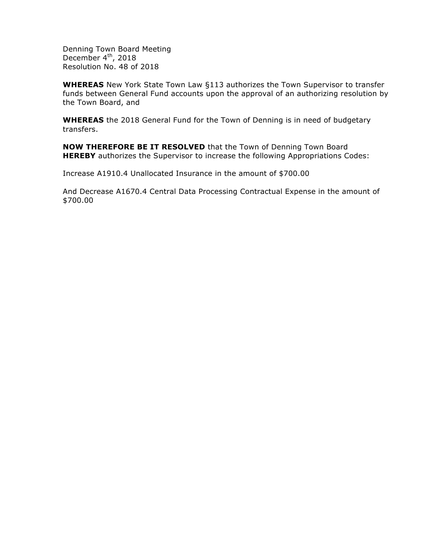Denning Town Board Meeting December  $4<sup>th</sup>$ , 2018 Resolution No. 48 of 2018

**WHEREAS** New York State Town Law §113 authorizes the Town Supervisor to transfer funds between General Fund accounts upon the approval of an authorizing resolution by the Town Board, and

**WHEREAS** the 2018 General Fund for the Town of Denning is in need of budgetary transfers.

**NOW THEREFORE BE IT RESOLVED** that the Town of Denning Town Board **HEREBY** authorizes the Supervisor to increase the following Appropriations Codes:

Increase A1910.4 Unallocated Insurance in the amount of \$700.00

And Decrease A1670.4 Central Data Processing Contractual Expense in the amount of \$700.00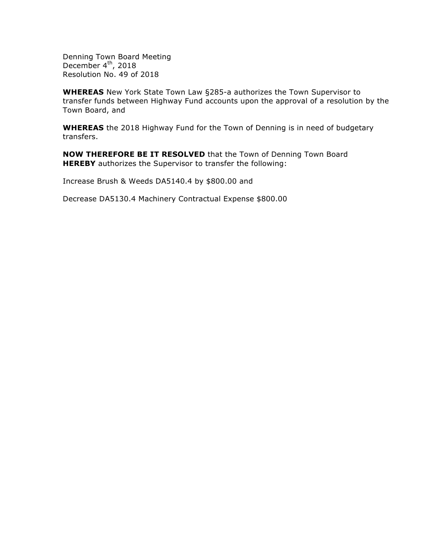Denning Town Board Meeting December  $4<sup>th</sup>$ , 2018 Resolution No. 49 of 2018

**WHEREAS** New York State Town Law §285-a authorizes the Town Supervisor to transfer funds between Highway Fund accounts upon the approval of a resolution by the Town Board, and

**WHEREAS** the 2018 Highway Fund for the Town of Denning is in need of budgetary transfers.

**NOW THEREFORE BE IT RESOLVED** that the Town of Denning Town Board **HEREBY** authorizes the Supervisor to transfer the following:

Increase Brush & Weeds DA5140.4 by \$800.00 and

Decrease DA5130.4 Machinery Contractual Expense \$800.00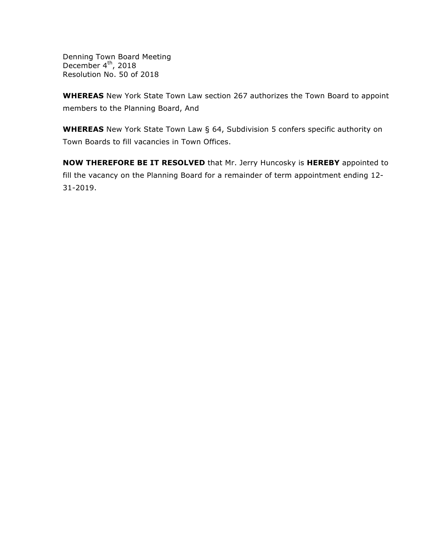Denning Town Board Meeting December 4<sup>th</sup>, 2018 Resolution No. 50 of 2018

**WHEREAS** New York State Town Law section 267 authorizes the Town Board to appoint members to the Planning Board, And

**WHEREAS** New York State Town Law § 64, Subdivision 5 confers specific authority on Town Boards to fill vacancies in Town Offices.

**NOW THEREFORE BE IT RESOLVED** that Mr. Jerry Huncosky is **HEREBY** appointed to fill the vacancy on the Planning Board for a remainder of term appointment ending 12- 31-2019.